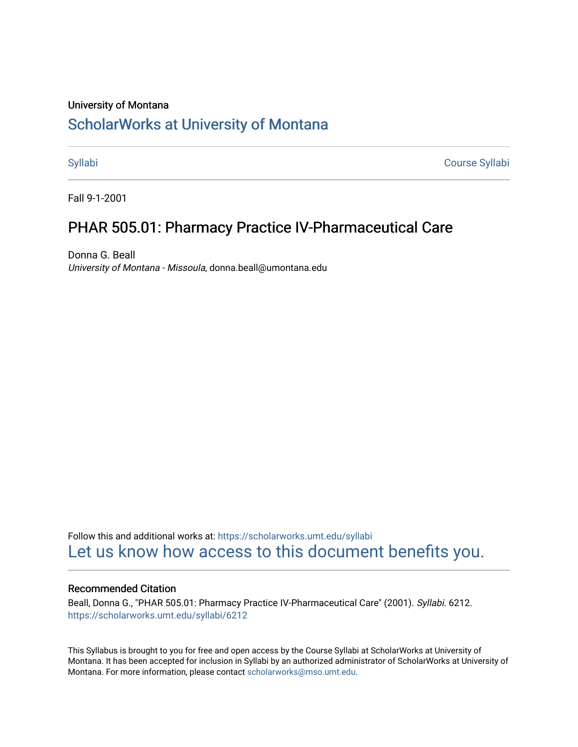#### University of Montana

# [ScholarWorks at University of Montana](https://scholarworks.umt.edu/)

[Syllabi](https://scholarworks.umt.edu/syllabi) [Course Syllabi](https://scholarworks.umt.edu/course_syllabi) 

Fall 9-1-2001

## PHAR 505.01: Pharmacy Practice IV-Pharmaceutical Care

Donna G. Beall University of Montana - Missoula, donna.beall@umontana.edu

Follow this and additional works at: [https://scholarworks.umt.edu/syllabi](https://scholarworks.umt.edu/syllabi?utm_source=scholarworks.umt.edu%2Fsyllabi%2F6212&utm_medium=PDF&utm_campaign=PDFCoverPages)  [Let us know how access to this document benefits you.](https://goo.gl/forms/s2rGfXOLzz71qgsB2) 

#### Recommended Citation

Beall, Donna G., "PHAR 505.01: Pharmacy Practice IV-Pharmaceutical Care" (2001). Syllabi. 6212. [https://scholarworks.umt.edu/syllabi/6212](https://scholarworks.umt.edu/syllabi/6212?utm_source=scholarworks.umt.edu%2Fsyllabi%2F6212&utm_medium=PDF&utm_campaign=PDFCoverPages)

This Syllabus is brought to you for free and open access by the Course Syllabi at ScholarWorks at University of Montana. It has been accepted for inclusion in Syllabi by an authorized administrator of ScholarWorks at University of Montana. For more information, please contact [scholarworks@mso.umt.edu.](mailto:scholarworks@mso.umt.edu)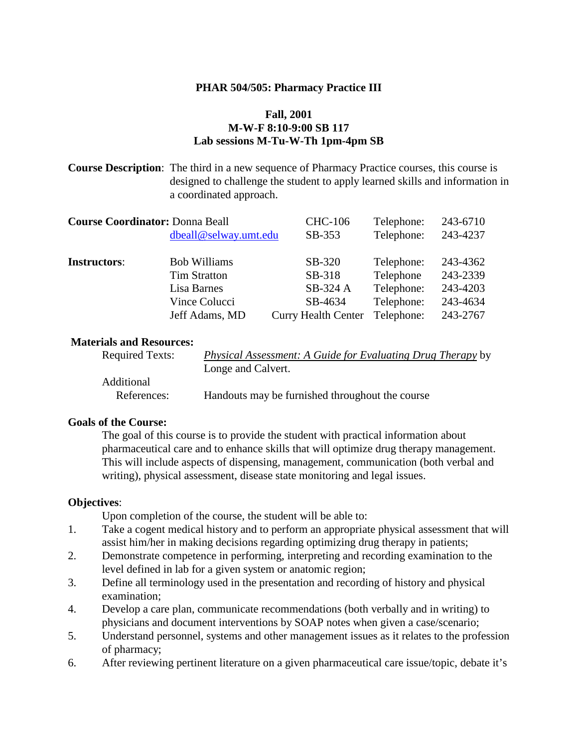#### **PHAR 504/505: Pharmacy Practice III**

## **Fall, 2001 M-W-F 8:10-9:00 SB 117 Lab sessions M-Tu-W-Th 1pm-4pm SB**

**Course Description**: The third in a new sequence of Pharmacy Practice courses, this course is designed to challenge the student to apply learned skills and information in a coordinated approach.

| <b>Course Coordinator: Donna Beall</b> |                       | <b>CHC-106</b>             | Telephone: | 243-6710 |
|----------------------------------------|-----------------------|----------------------------|------------|----------|
|                                        | dbeall@selway.umt.edu | SB-353                     | Telephone: | 243-4237 |
| <b>Instructors:</b>                    | <b>Bob Williams</b>   | SB-320                     | Telephone: | 243-4362 |
|                                        | <b>Tim Stratton</b>   | SB-318                     | Telephone  | 243-2339 |
|                                        | Lisa Barnes           | SB-324 A                   | Telephone: | 243-4203 |
|                                        | Vince Colucci         | SB-4634                    | Telephone: | 243-4634 |
|                                        | Jeff Adams, MD        | <b>Curry Health Center</b> | Telephone: | 243-2767 |

#### **Materials and Resources:**

| <i>Physical Assessment: A Guide for Evaluating Drug Therapy by</i> |
|--------------------------------------------------------------------|
| Longe and Calvert.                                                 |
|                                                                    |
| Handouts may be furnished throughout the course                    |
|                                                                    |

#### **Goals of the Course:**

The goal of this course is to provide the student with practical information about pharmaceutical care and to enhance skills that will optimize drug therapy management. This will include aspects of dispensing, management, communication (both verbal and writing), physical assessment, disease state monitoring and legal issues.

#### **Objectives**:

Upon completion of the course, the student will be able to:

- 1. Take a cogent medical history and to perform an appropriate physical assessment that will assist him/her in making decisions regarding optimizing drug therapy in patients;
- 2. Demonstrate competence in performing, interpreting and recording examination to the level defined in lab for a given system or anatomic region;
- 3. Define all terminology used in the presentation and recording of history and physical examination;
- 4. Develop a care plan, communicate recommendations (both verbally and in writing) to physicians and document interventions by SOAP notes when given a case/scenario;
- 5. Understand personnel, systems and other management issues as it relates to the profession of pharmacy;
- 6. After reviewing pertinent literature on a given pharmaceutical care issue/topic, debate it's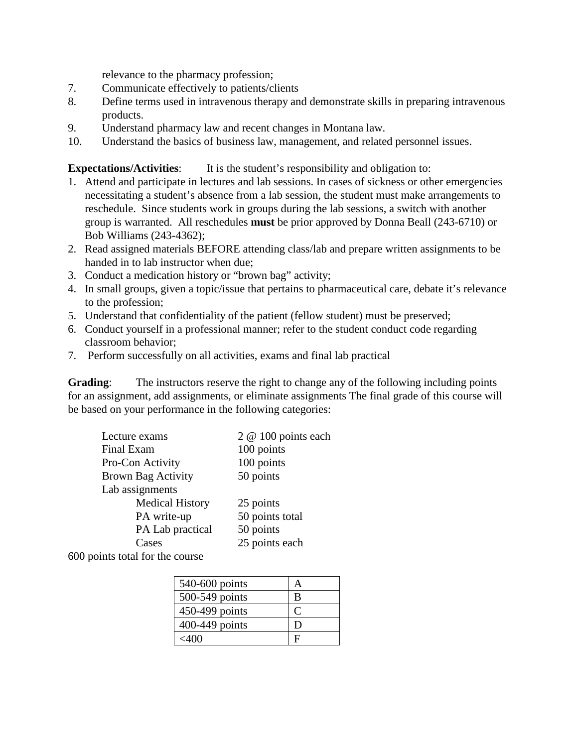relevance to the pharmacy profession;

- 7. Communicate effectively to patients/clients
- 8. Define terms used in intravenous therapy and demonstrate skills in preparing intravenous products.
- 9. Understand pharmacy law and recent changes in Montana law.
- 10. Understand the basics of business law, management, and related personnel issues.

**Expectations/Activities:** It is the student's responsibility and obligation to:

- 1. Attend and participate in lectures and lab sessions. In cases of sickness or other emergencies necessitating a student's absence from a lab session, the student must make arrangements to reschedule. Since students work in groups during the lab sessions, a switch with another group is warranted. All reschedules **must** be prior approved by Donna Beall (243-6710) or Bob Williams (243-4362);
- 2. Read assigned materials BEFORE attending class/lab and prepare written assignments to be handed in to lab instructor when due;
- 3. Conduct a medication history or "brown bag" activity;
- 4. In small groups, given a topic/issue that pertains to pharmaceutical care, debate it's relevance to the profession;
- 5. Understand that confidentiality of the patient (fellow student) must be preserved;
- 6. Conduct yourself in a professional manner; refer to the student conduct code regarding classroom behavior;
- 7. Perform successfully on all activities, exams and final lab practical

**Grading**: The instructors reserve the right to change any of the following including points for an assignment, add assignments, or eliminate assignments The final grade of this course will be based on your performance in the following categories:

| Lecture exams                                       | 2 @ 100 points each |
|-----------------------------------------------------|---------------------|
| Final Exam                                          | 100 points          |
| Pro-Con Activity                                    | 100 points          |
| <b>Brown Bag Activity</b>                           | 50 points           |
| Lab assignments                                     |                     |
| <b>Medical History</b>                              | 25 points           |
| PA write-up                                         | 50 points total     |
| PA Lab practical                                    | 50 points           |
| Cases                                               | 25 points each      |
| $\epsilon$ 00 $\epsilon$ sinte total for the course |                     |

600 points total for the course

| 540-600 points |   |
|----------------|---|
| 500-549 points | В |
| 450-499 points | € |
| 400-449 points | Ð |
| $<$ 400        | E |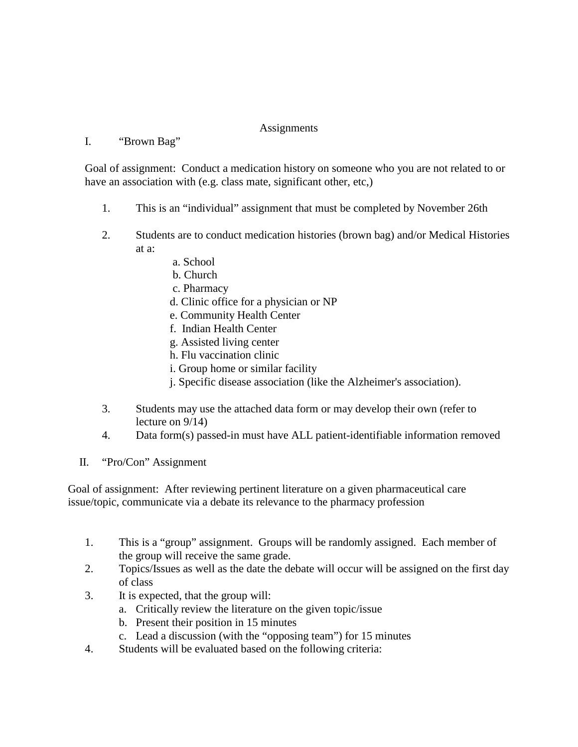#### Assignments

## I. "Brown Bag"

Goal of assignment: Conduct a medication history on someone who you are not related to or have an association with (e.g. class mate, significant other, etc,)

- 1. This is an "individual" assignment that must be completed by November 26th
- 2. Students are to conduct medication histories (brown bag) and/or Medical Histories at a:
	- a. School
	- b. Church
	- c. Pharmacy
	- d. Clinic office for a physician or NP
	- e. Community Health Center
	- f. Indian Health Center
	- g. Assisted living center
	- h. Flu vaccination clinic
	- i. Group home or similar facility
	- j. Specific disease association (like the Alzheimer's association).
- 3. Students may use the attached data form or may develop their own (refer to lecture on 9/14)
- 4. Data form(s) passed-in must have ALL patient-identifiable information removed
- II. "Pro/Con" Assignment

Goal of assignment: After reviewing pertinent literature on a given pharmaceutical care issue/topic, communicate via a debate its relevance to the pharmacy profession

- 1. This is a "group" assignment. Groups will be randomly assigned. Each member of the group will receive the same grade.
- 2. Topics/Issues as well as the date the debate will occur will be assigned on the first day of class
- 3. It is expected, that the group will:
	- a. Critically review the literature on the given topic/issue
	- b. Present their position in 15 minutes
	- c. Lead a discussion (with the "opposing team") for 15 minutes
- 4. Students will be evaluated based on the following criteria: